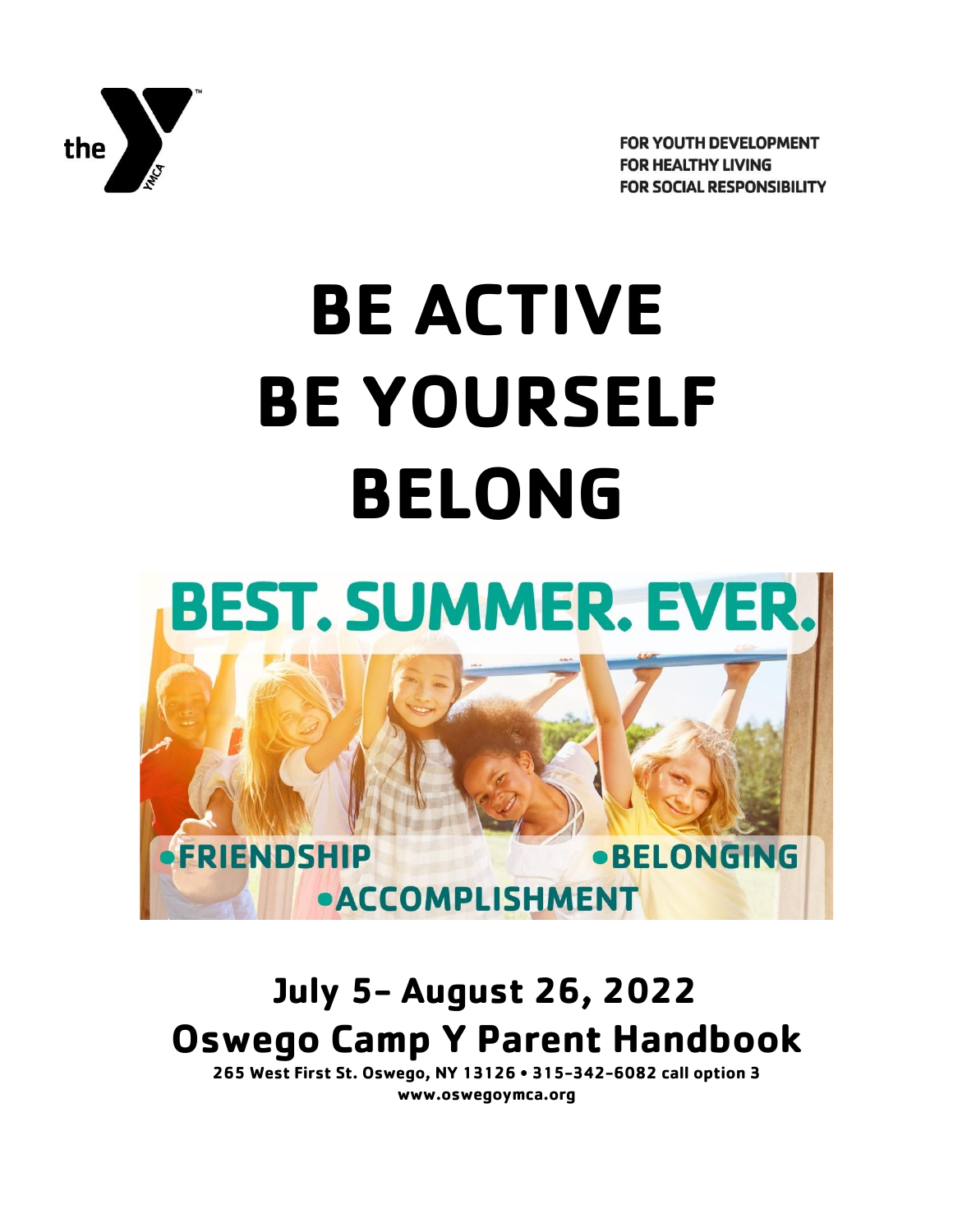

**FOR YOUTH DEVELOPMENT FOR HEALTHY LIVING FOR SOCIAL RESPONSIBILITY** 

# **BE ACTIVE BE YOURSELF BELONG**



# **July 5- August 26, 2022 Oswego Camp Y Parent Handbook**

**265 West First St. Oswego, NY 13126 • 315-342-6082 call option 3 www.oswegoymca.org**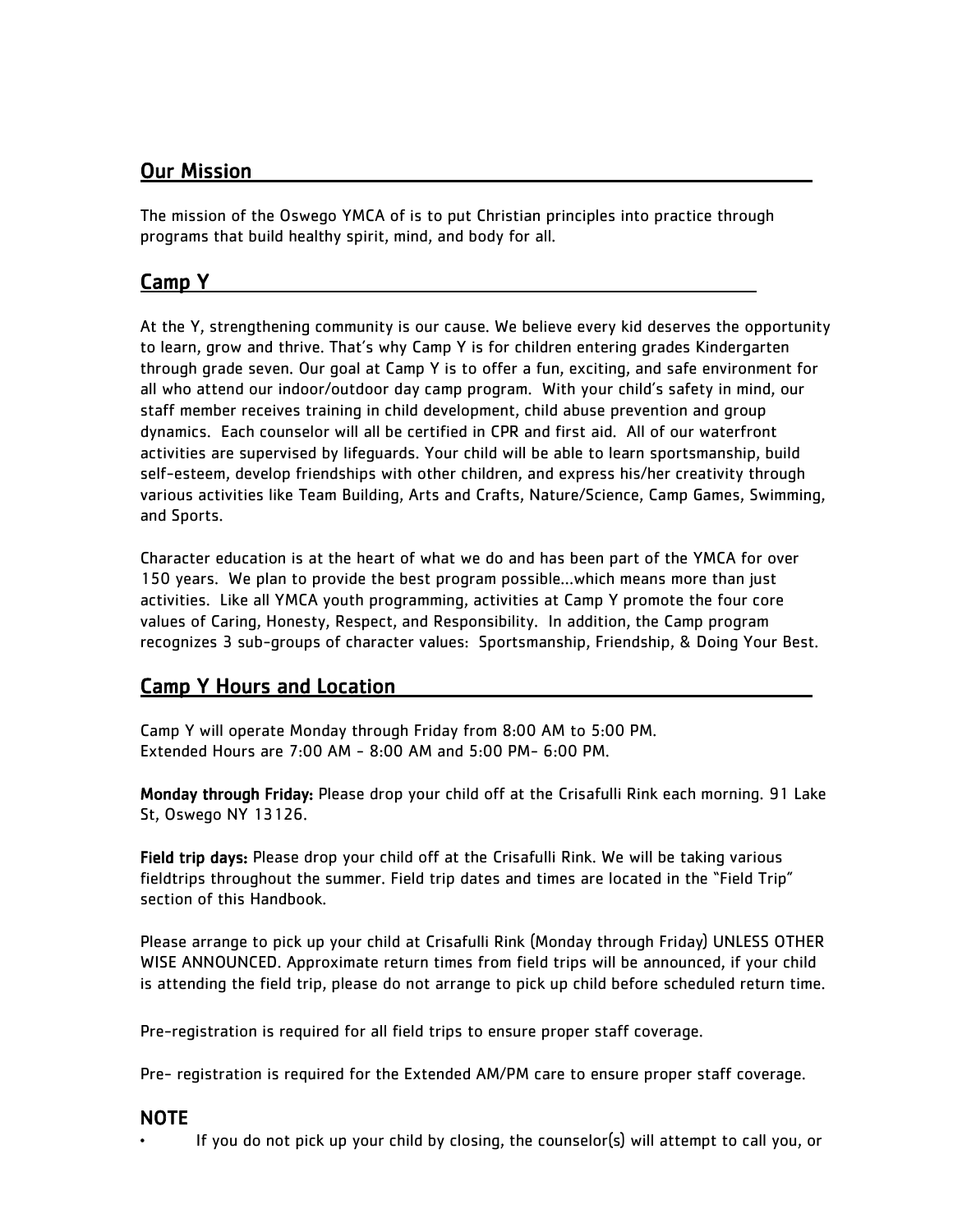# Our Mission

The mission of the Oswego YMCA of is to put Christian principles into practice through programs that build healthy spirit, mind, and body for all.

# Camp Y

At the Y, strengthening community is our cause. We believe every kid deserves the opportunity to learn, grow and thrive. That's why Camp Y is for children entering grades Kindergarten through grade seven. Our goal at Camp Y is to offer a fun, exciting, and safe environment for all who attend our indoor/outdoor day camp program. With your child's safety in mind, our staff member receives training in child development, child abuse prevention and group dynamics. Each counselor will all be certified in CPR and first aid. All of our waterfront activities are supervised by lifeguards. Your child will be able to learn sportsmanship, build self-esteem, develop friendships with other children, and express his/her creativity through various activities like Team Building, Arts and Crafts, Nature/Science, Camp Games, Swimming, and Sports.

Character education is at the heart of what we do and has been part of the YMCA for over 150 years. We plan to provide the best program possible…which means more than just activities. Like all YMCA youth programming, activities at Camp Y promote the four core values of Caring, Honesty, Respect, and Responsibility. In addition, the Camp program recognizes 3 sub-groups of character values: Sportsmanship, Friendship, & Doing Your Best.

# **Camp Y Hours and Location**

Camp Y will operate Monday through Friday from 8:00 AM to 5:00 PM. Extended Hours are 7:00 AM - 8:00 AM and 5:00 PM- 6:00 PM.

Monday through Friday: Please drop your child off at the Crisafulli Rink each morning. 91 Lake St, Oswego NY 13126.

Field trip days: Please drop your child off at the Crisafulli Rink. We will be taking various fieldtrips throughout the summer. Field trip dates and times are located in the "Field Trip" section of this Handbook.

Please arrange to pick up your child at Crisafulli Rink (Monday through Friday) UNLESS OTHER WISE ANNOUNCED. Approximate return times from field trips will be announced, if your child is attending the field trip, please do not arrange to pick up child before scheduled return time.

Pre-registration is required for all field trips to ensure proper staff coverage.

Pre- registration is required for the Extended AM/PM care to ensure proper staff coverage.

#### NOTE

• If you do not pick up your child by closing, the counselor(s) will attempt to call you, or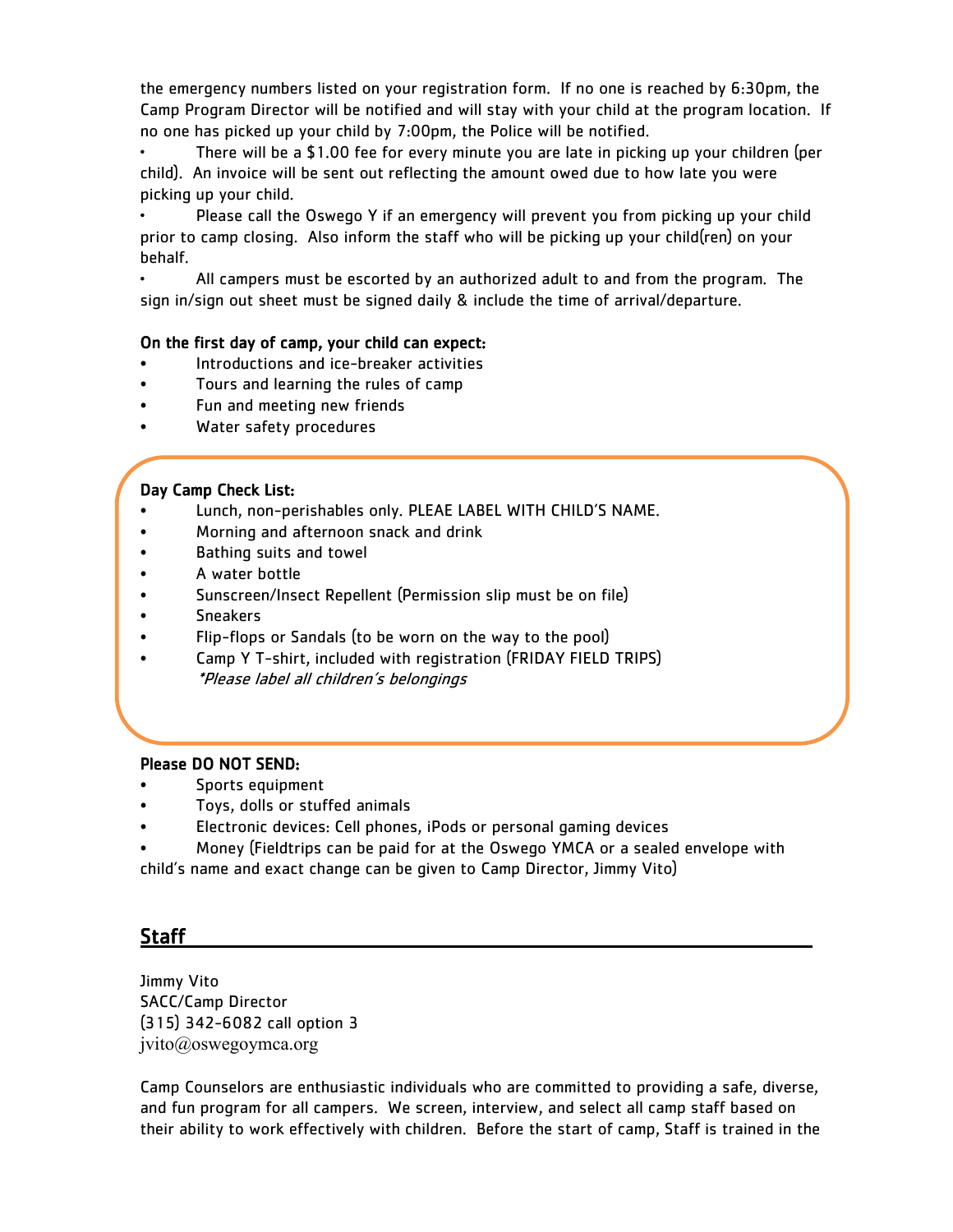the emergency numbers listed on your registration form. If no one is reached by 6:30pm, the Camp Program Director will be notified and will stay with your child at the program location. If no one has picked up your child by 7:00pm, the Police will be notified.

• There will be a \$1.00 fee for every minute you are late in picking up your children (per child). An invoice will be sent out reflecting the amount owed due to how late you were picking up your child.

• Please call the Oswego Y if an emergency will prevent you from picking up your child prior to camp closing. Also inform the staff who will be picking up your child(ren) on your behalf.

• All campers must be escorted by an authorized adult to and from the program. The sign in/sign out sheet must be signed daily & include the time of arrival/departure.

#### On the first day of camp, your child can expect:

- Introductions and ice-breaker activities
- Tours and learning the rules of camp
- Fun and meeting new friends
- Water safety procedures

#### Day Camp Check List:

- Lunch, non-perishables only. PLEAE LABEL WITH CHILD'S NAME.
- Morning and afternoon snack and drink
- Bathing suits and towel
- A water bottle
- Sunscreen/Insect Repellent (Permission slip must be on file)
- Sneakers
- Flip-flops or Sandals (to be worn on the way to the pool)
- Camp Y T-shirt, included with registration (FRIDAY FIELD TRIPS) \*Please label all children's belongings

#### Please DO NOT SEND:

- Sports equipment
- Toys, dolls or stuffed animals
- Electronic devices: Cell phones, iPods or personal gaming devices
- Money (Fieldtrips can be paid for at the Oswego YMCA or a sealed envelope with

child's name and exact change can be given to Camp Director, Jimmy Vito)

#### Staff

Jimmy Vito SACC/Camp Director (315) 342-6082 call option 3 jvito@oswegoymca.org

Camp Counselors are enthusiastic individuals who are committed to providing a safe, diverse, and fun program for all campers. We screen, interview, and select all camp staff based on their ability to work effectively with children. Before the start of camp, Staff is trained in the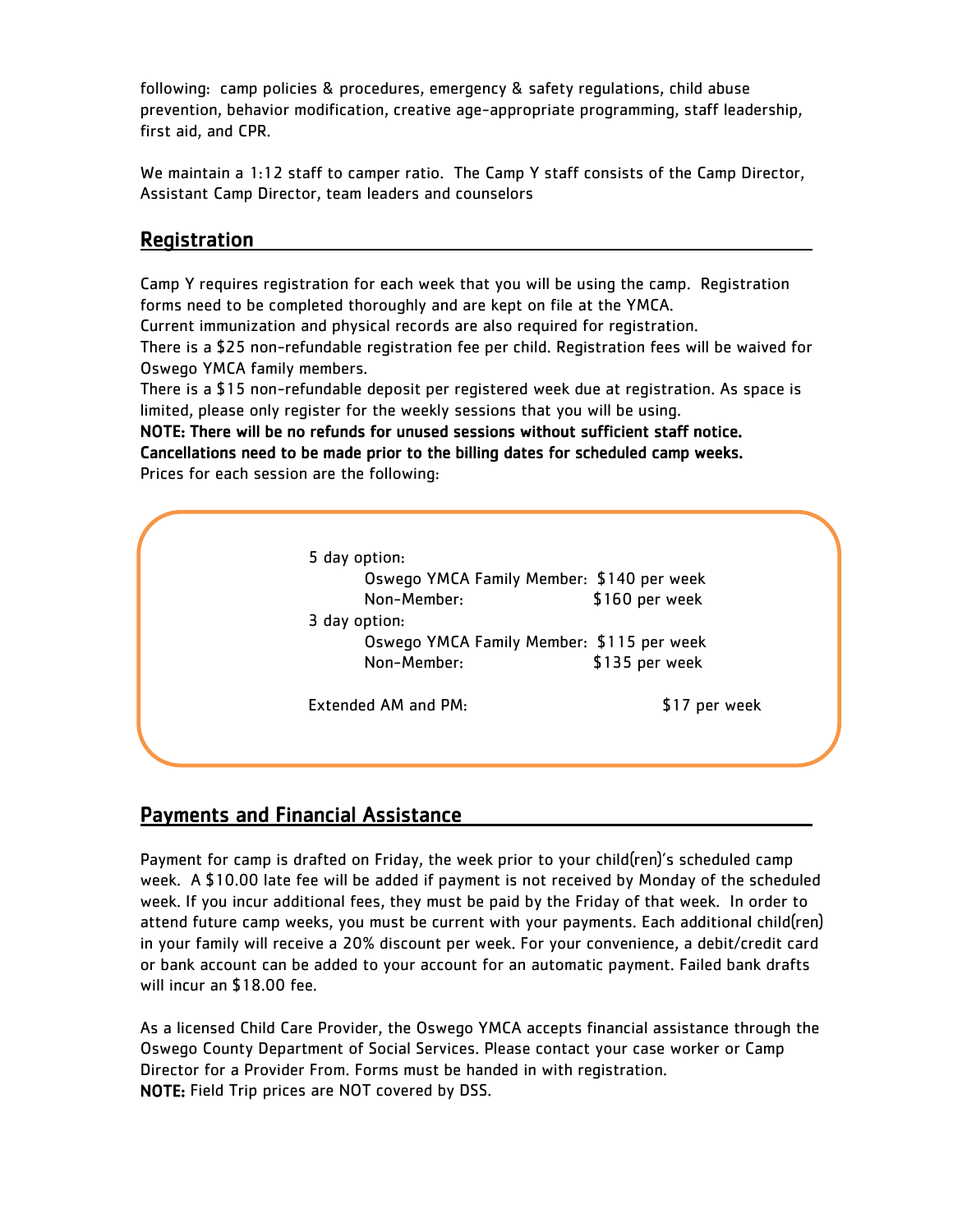following: camp policies & procedures, emergency & safety regulations, child abuse prevention, behavior modification, creative age-appropriate programming, staff leadership, first aid, and CPR.

We maintain a 1:12 staff to camper ratio. The Camp Y staff consists of the Camp Director, Assistant Camp Director, team leaders and counselors

#### Registration

l

Camp Y requires registration for each week that you will be using the camp. Registration forms need to be completed thoroughly and are kept on file at the YMCA.

Current immunization and physical records are also required for registration.

There is a \$25 non-refundable registration fee per child. Registration fees will be waived for Oswego YMCA family members.

There is a \$15 non-refundable deposit per registered week due at registration. As space is limited, please only register for the weekly sessions that you will be using.

NOTE: There will be no refunds for unused sessions without sufficient staff notice. Cancellations need to be made prior to the billing dates for scheduled camp weeks. Prices for each session are the following:

| Oswego YMCA Family Member: \$140 per week<br>Non-Member:<br>3 day option: | \$160 per week |
|---------------------------------------------------------------------------|----------------|
|                                                                           |                |
|                                                                           |                |
| Oswego YMCA Family Member: \$115 per week                                 |                |
| Non-Member:                                                               | \$135 per week |

# Payments and Financial Assistance

Payment for camp is drafted on Friday, the week prior to your child(ren)'s scheduled camp week. A \$10.00 late fee will be added if payment is not received by Monday of the scheduled week. If you incur additional fees, they must be paid by the Friday of that week. In order to attend future camp weeks, you must be current with your payments. Each additional child(ren) in your family will receive a 20% discount per week. For your convenience, a debit/credit card or bank account can be added to your account for an automatic payment. Failed bank drafts will incur an \$18.00 fee.

As a licensed Child Care Provider, the Oswego YMCA accepts financial assistance through the Oswego County Department of Social Services. Please contact your case worker or Camp Director for a Provider From. Forms must be handed in with registration. NOTE: Field Trip prices are NOT covered by DSS.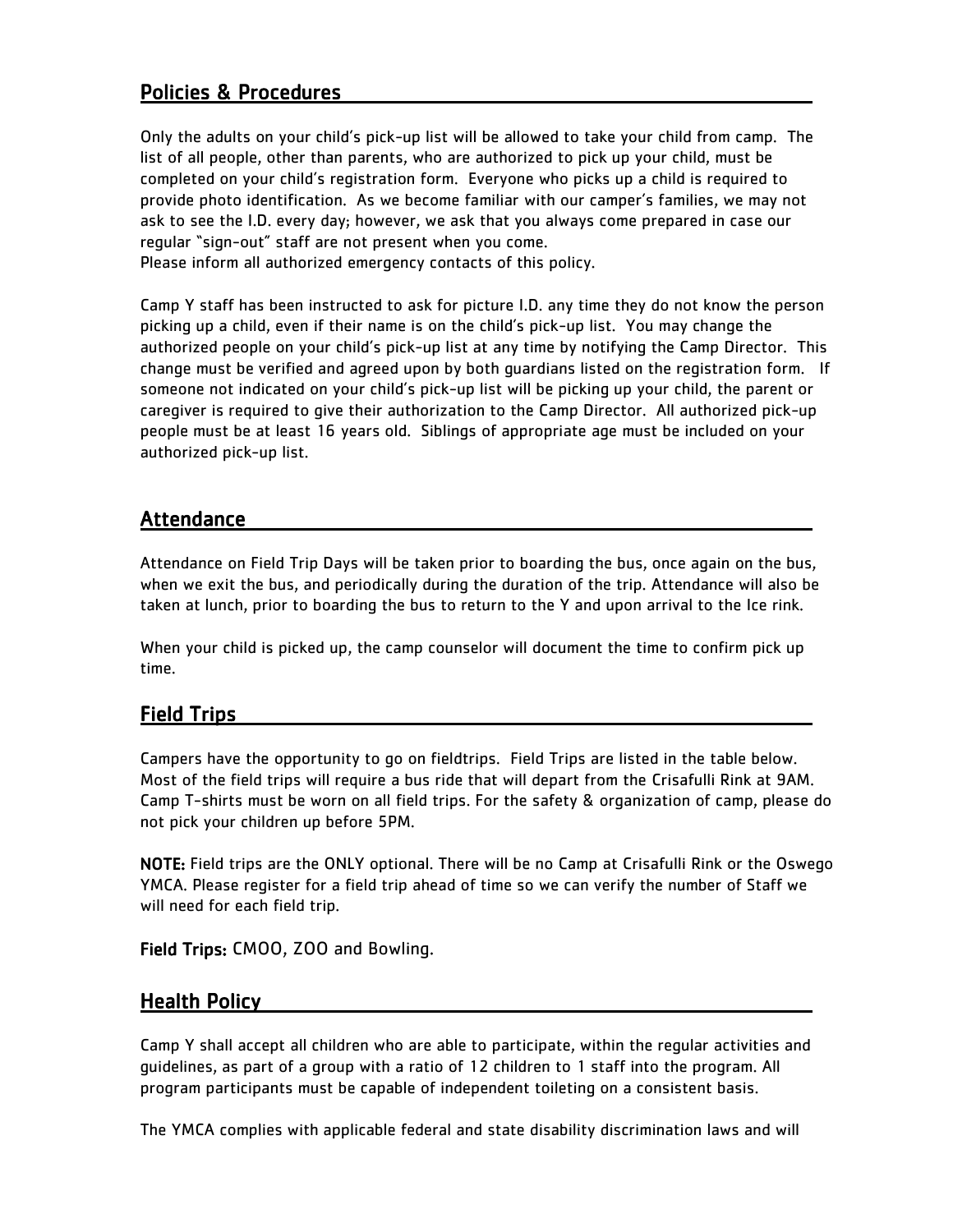## Policies & Procedures

Only the adults on your child's pick-up list will be allowed to take your child from camp. The list of all people, other than parents, who are authorized to pick up your child, must be completed on your child's registration form. Everyone who picks up a child is required to provide photo identification. As we become familiar with our camper's families, we may not ask to see the I.D. every day; however, we ask that you always come prepared in case our regular "sign-out" staff are not present when you come. Please inform all authorized emergency contacts of this policy.

Camp Y staff has been instructed to ask for picture I.D. any time they do not know the person picking up a child, even if their name is on the child's pick-up list. You may change the authorized people on your child's pick-up list at any time by notifying the Camp Director. This change must be verified and agreed upon by both guardians listed on the registration form. If someone not indicated on your child's pick-up list will be picking up your child, the parent or caregiver is required to give their authorization to the Camp Director. All authorized pick-up people must be at least 16 years old. Siblings of appropriate age must be included on your authorized pick-up list.

# Attendance

Attendance on Field Trip Days will be taken prior to boarding the bus, once again on the bus, when we exit the bus, and periodically during the duration of the trip. Attendance will also be taken at lunch, prior to boarding the bus to return to the Y and upon arrival to the Ice rink.

When your child is picked up, the camp counselor will document the time to confirm pick up time.

### Field Trips

Campers have the opportunity to go on fieldtrips. Field Trips are listed in the table below. Most of the field trips will require a bus ride that will depart from the Crisafulli Rink at 9AM. Camp T-shirts must be worn on all field trips. For the safety & organization of camp, please do not pick your children up before 5PM.

NOTE: Field trips are the ONLY optional. There will be no Camp at Crisafulli Rink or the Oswego YMCA. Please register for a field trip ahead of time so we can verify the number of Staff we will need for each field trip.

Field Trips: CMOO, ZOO and Bowling.

#### Health Policy

Camp Y shall accept all children who are able to participate, within the regular activities and guidelines, as part of a group with a ratio of 12 children to 1 staff into the program. All program participants must be capable of independent toileting on a consistent basis.

The YMCA complies with applicable federal and state disability discrimination laws and will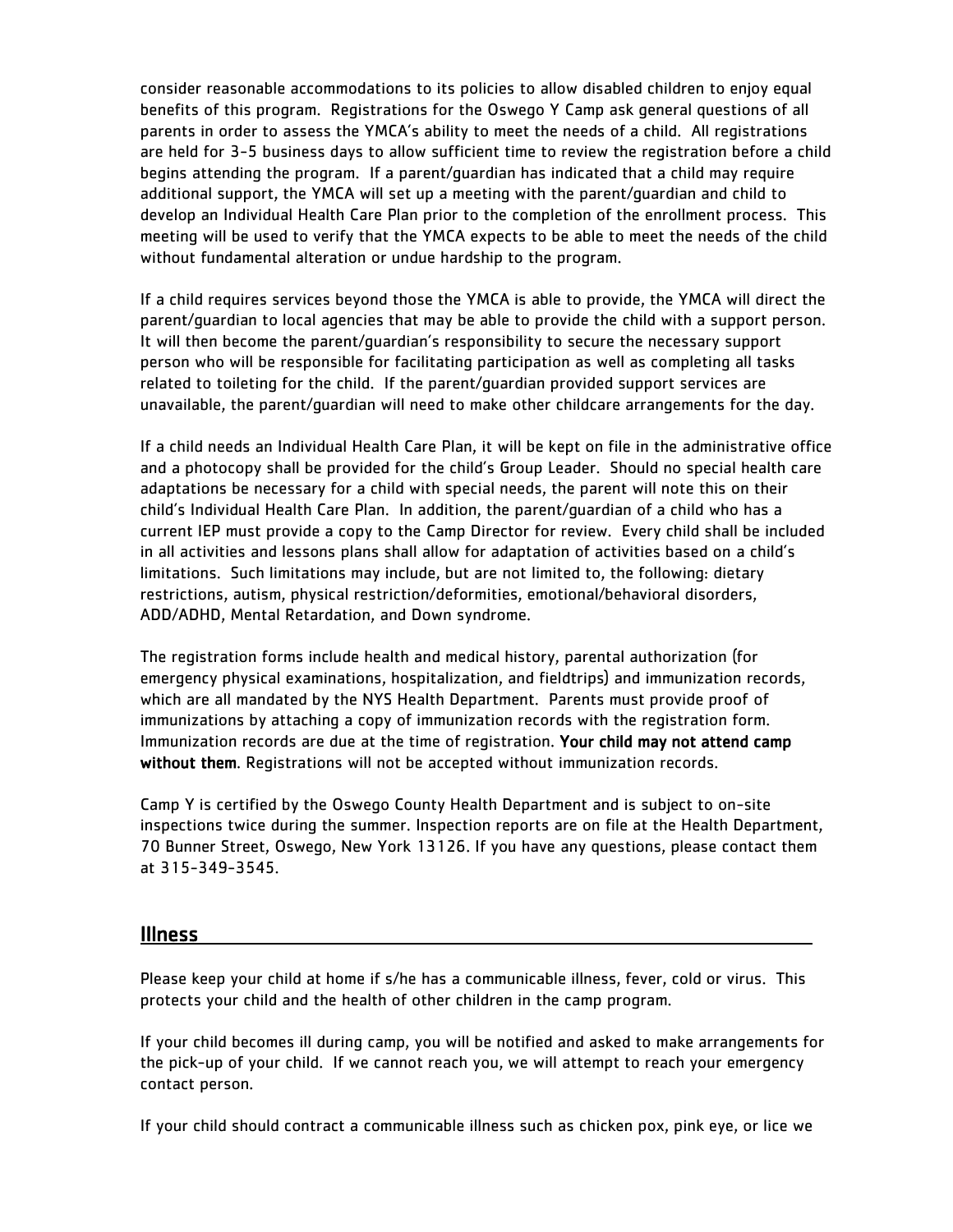consider reasonable accommodations to its policies to allow disabled children to enjoy equal benefits of this program. Registrations for the Oswego Y Camp ask general questions of all parents in order to assess the YMCA's ability to meet the needs of a child. All registrations are held for 3-5 business days to allow sufficient time to review the registration before a child begins attending the program. If a parent/guardian has indicated that a child may require additional support, the YMCA will set up a meeting with the parent/guardian and child to develop an Individual Health Care Plan prior to the completion of the enrollment process. This meeting will be used to verify that the YMCA expects to be able to meet the needs of the child without fundamental alteration or undue hardship to the program.

If a child requires services beyond those the YMCA is able to provide, the YMCA will direct the parent/guardian to local agencies that may be able to provide the child with a support person. It will then become the parent/guardian's responsibility to secure the necessary support person who will be responsible for facilitating participation as well as completing all tasks related to toileting for the child. If the parent/guardian provided support services are unavailable, the parent/guardian will need to make other childcare arrangements for the day.

If a child needs an Individual Health Care Plan, it will be kept on file in the administrative office and a photocopy shall be provided for the child's Group Leader. Should no special health care adaptations be necessary for a child with special needs, the parent will note this on their child's Individual Health Care Plan. In addition, the parent/guardian of a child who has a current IEP must provide a copy to the Camp Director for review. Every child shall be included in all activities and lessons plans shall allow for adaptation of activities based on a child's limitations. Such limitations may include, but are not limited to, the following: dietary restrictions, autism, physical restriction/deformities, emotional/behavioral disorders, ADD/ADHD, Mental Retardation, and Down syndrome.

The registration forms include health and medical history, parental authorization (for emergency physical examinations, hospitalization, and fieldtrips) and immunization records, which are all mandated by the NYS Health Department. Parents must provide proof of immunizations by attaching a copy of immunization records with the registration form. Immunization records are due at the time of registration. Your child may not attend camp without them. Registrations will not be accepted without immunization records.

Camp Y is certified by the Oswego County Health Department and is subject to on-site inspections twice during the summer. Inspection reports are on file at the Health Department, 70 Bunner Street, Oswego, New York 13126. If you have any questions, please contact them at 315-349-3545.

#### Illness

Please keep your child at home if s/he has a communicable illness, fever, cold or virus. This protects your child and the health of other children in the camp program.

If your child becomes ill during camp, you will be notified and asked to make arrangements for the pick-up of your child. If we cannot reach you, we will attempt to reach your emergency contact person.

If your child should contract a communicable illness such as chicken pox, pink eye, or lice we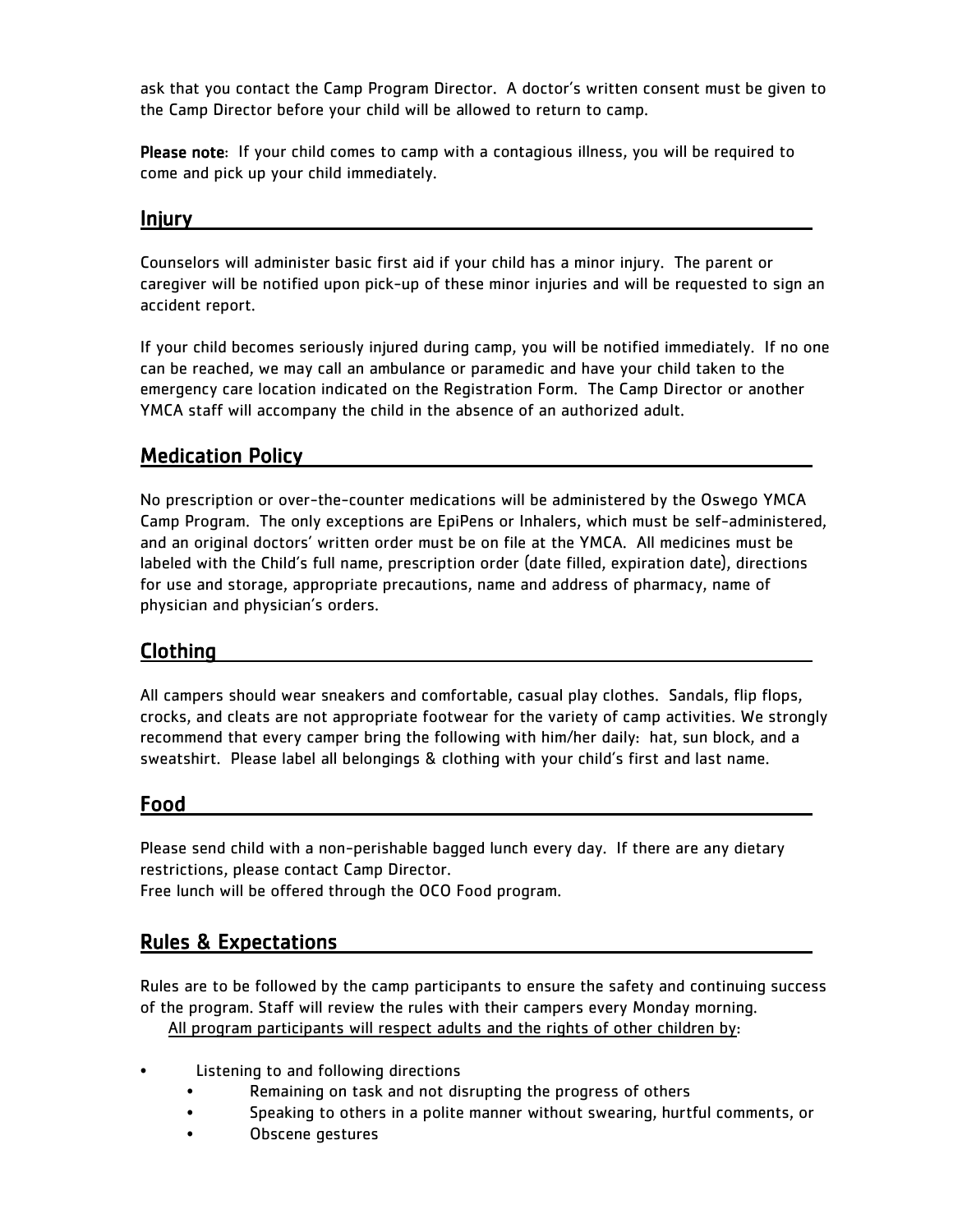ask that you contact the Camp Program Director. A doctor's written consent must be given to the Camp Director before your child will be allowed to return to camp.

Please note: If your child comes to camp with a contagious illness, you will be required to come and pick up your child immediately.

#### Injury

Counselors will administer basic first aid if your child has a minor injury. The parent or caregiver will be notified upon pick-up of these minor injuries and will be requested to sign an accident report.

If your child becomes seriously injured during camp, you will be notified immediately. If no one can be reached, we may call an ambulance or paramedic and have your child taken to the emergency care location indicated on the Registration Form. The Camp Director or another YMCA staff will accompany the child in the absence of an authorized adult.

# Medication Policy

No prescription or over-the-counter medications will be administered by the Oswego YMCA Camp Program. The only exceptions are EpiPens or Inhalers, which must be self-administered, and an original doctors' written order must be on file at the YMCA. All medicines must be labeled with the Child's full name, prescription order (date filled, expiration date), directions for use and storage, appropriate precautions, name and address of pharmacy, name of physician and physician's orders.

### Clothing

All campers should wear sneakers and comfortable, casual play clothes. Sandals, flip flops, crocks, and cleats are not appropriate footwear for the variety of camp activities. We strongly recommend that every camper bring the following with him/her daily: hat, sun block, and a sweatshirt. Please label all belongings & clothing with your child's first and last name.

#### Food

Please send child with a non-perishable bagged lunch every day. If there are any dietary restrictions, please contact Camp Director.

Free lunch will be offered through the OCO Food program.

### Rules & Expectations

Rules are to be followed by the camp participants to ensure the safety and continuing success of the program. Staff will review the rules with their campers every Monday morning. All program participants will respect adults and the rights of other children by:

- Listening to and following directions
	- Remaining on task and not disrupting the progress of others
	- Speaking to others in a polite manner without swearing, hurtful comments, or
	- Obscene gestures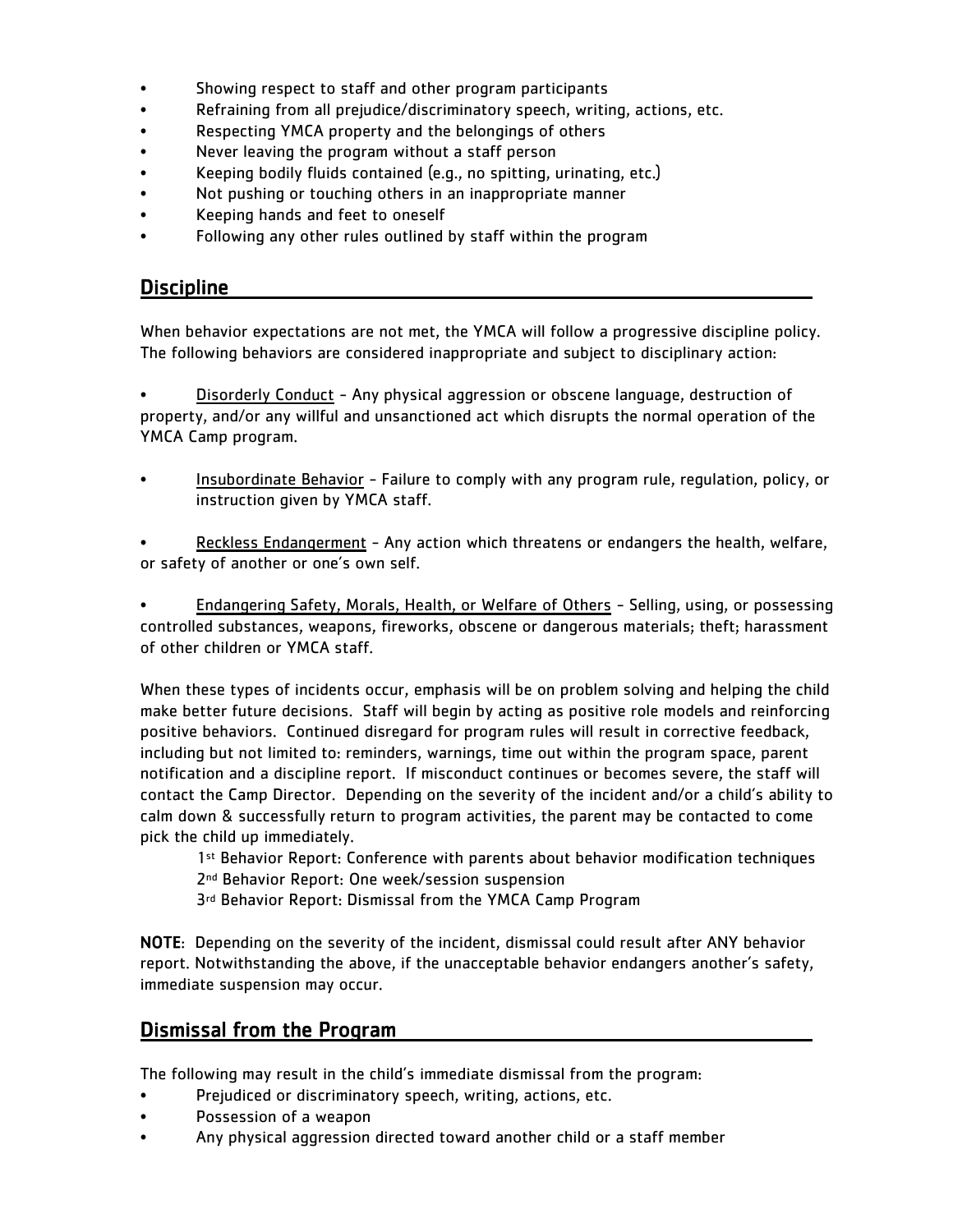- Showing respect to staff and other program participants
- Refraining from all prejudice/discriminatory speech, writing, actions, etc.
- Respecting YMCA property and the belongings of others
- Never leaving the program without a staff person
- Keeping bodily fluids contained (e.g., no spitting, urinating, etc.)
- Not pushing or touching others in an inappropriate manner
- Keeping hands and feet to oneself
- Following any other rules outlined by staff within the program

#### **Discipline**

When behavior expectations are not met, the YMCA will follow a progressive discipline policy. The following behaviors are considered inappropriate and subject to disciplinary action:

• Disorderly Conduct - Any physical aggression or obscene language, destruction of property, and/or any willful and unsanctioned act which disrupts the normal operation of the YMCA Camp program.

• Insubordinate Behavior - Failure to comply with any program rule, regulation, policy, or instruction given by YMCA staff.

Reckless Endangerment - Any action which threatens or endangers the health, welfare, or safety of another or one's own self.

**Endangering Safety, Morals, Health, or Welfare of Others - Selling, using, or possessing** controlled substances, weapons, fireworks, obscene or dangerous materials; theft; harassment of other children or YMCA staff.

When these types of incidents occur, emphasis will be on problem solving and helping the child make better future decisions. Staff will begin by acting as positive role models and reinforcing positive behaviors. Continued disregard for program rules will result in corrective feedback, including but not limited to: reminders, warnings, time out within the program space, parent notification and a discipline report. If misconduct continues or becomes severe, the staff will contact the Camp Director. Depending on the severity of the incident and/or a child's ability to calm down & successfully return to program activities, the parent may be contacted to come pick the child up immediately.

- 1st Behavior Report: Conference with parents about behavior modification techniques
- 2<sup>nd</sup> Behavior Report: One week/session suspension
- 3<sup>rd</sup> Behavior Report: Dismissal from the YMCA Camp Program

NOTE: Depending on the severity of the incident, dismissal could result after ANY behavior report. Notwithstanding the above, if the unacceptable behavior endangers another's safety, immediate suspension may occur.

### Dismissal from the Program

The following may result in the child's immediate dismissal from the program:

- Prejudiced or discriminatory speech, writing, actions, etc.
- Possession of a weapon
- Any physical aggression directed toward another child or a staff member